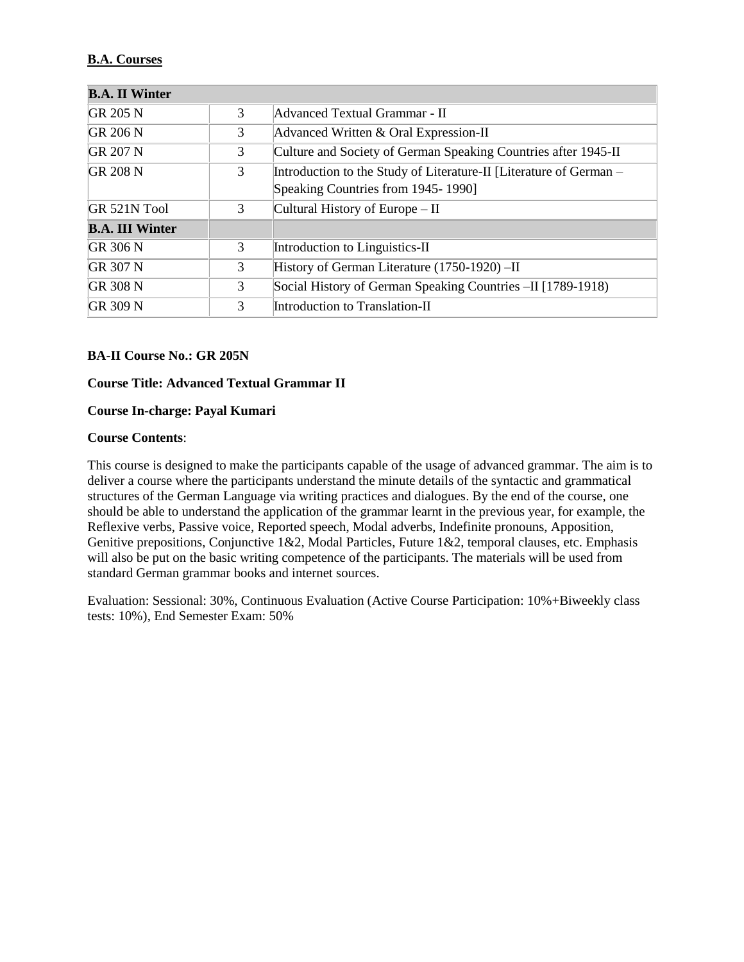## **B.A. Courses**

| <b>B.A. II Winter</b>  |   |                                                                    |
|------------------------|---|--------------------------------------------------------------------|
| GR 205 N               | 3 | Advanced Textual Grammar - II                                      |
| <b>GR 206 N</b>        | 3 | Advanced Written & Oral Expression-II                              |
| <b>GR 207 N</b>        | 3 | Culture and Society of German Speaking Countries after 1945-II     |
| <b>GR 208 N</b>        | 3 | Introduction to the Study of Literature-II [Literature of German - |
|                        |   | Speaking Countries from 1945-1990]                                 |
| GR 521N Tool           | 3 | Cultural History of Europe – II                                    |
| <b>B.A. III Winter</b> |   |                                                                    |
| GR 306 N               | 3 | Introduction to Linguistics-II                                     |
| GR 307 N               | 3 | History of German Literature (1750-1920) - II                      |
| GR 308 N               | 3 | Social History of German Speaking Countries - II [1789-1918]       |
| <b>GR 309 N</b>        | 3 | Introduction to Translation-II                                     |

### **BA-II Course No.: GR 205N**

### **Course Title: Advanced Textual Grammar II**

### **Course In-charge: Payal Kumari**

### **Course Contents**:

This course is designed to make the participants capable of the usage of advanced grammar. The aim is to deliver a course where the participants understand the minute details of the syntactic and grammatical structures of the German Language via writing practices and dialogues. By the end of the course, one should be able to understand the application of the grammar learnt in the previous year, for example, the Reflexive verbs, Passive voice, Reported speech, Modal adverbs, Indefinite pronouns, Apposition, Genitive prepositions, Conjunctive 1&2, Modal Particles, Future 1&2, temporal clauses, etc. Emphasis will also be put on the basic writing competence of the participants. The materials will be used from standard German grammar books and internet sources.

Evaluation: Sessional: 30%, Continuous Evaluation (Active Course Participation: 10%+Biweekly class tests: 10%), End Semester Exam: 50%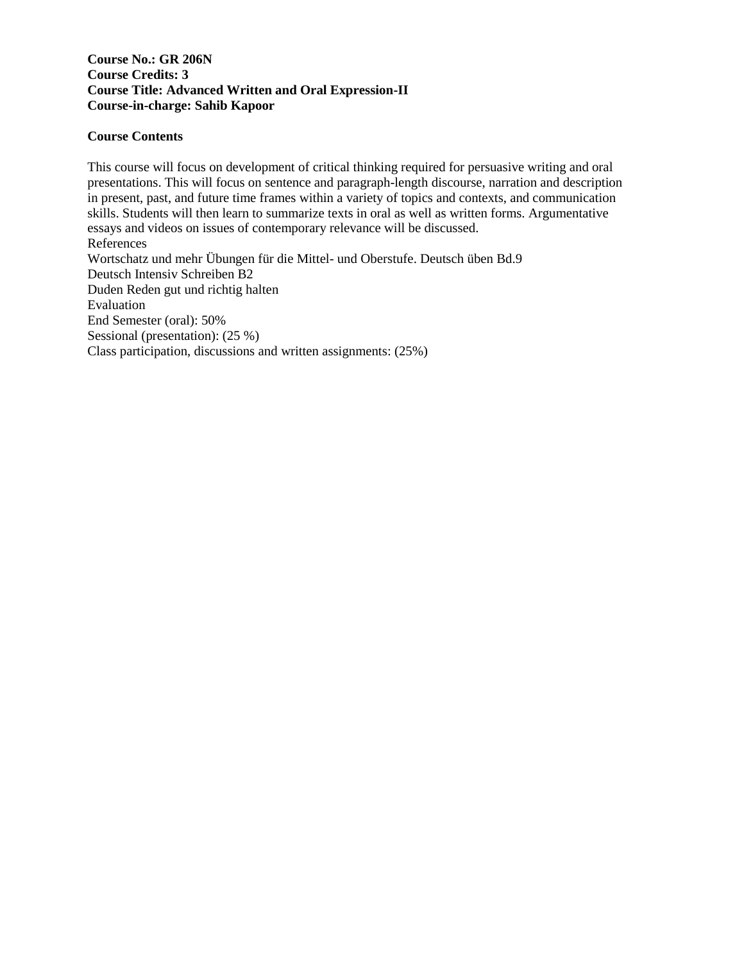### **Course No.: GR 206N Course Credits: 3 Course Title: Advanced Written and Oral Expression-II Course-in-charge: Sahib Kapoor**

### **Course Contents**

This course will focus on development of critical thinking required for persuasive writing and oral presentations. This will focus on sentence and paragraph-length discourse, narration and description in present, past, and future time frames within a variety of topics and contexts, and communication skills. Students will then learn to summarize texts in oral as well as written forms. Argumentative essays and videos on issues of contemporary relevance will be discussed. References Wortschatz und mehr Übungen für die Mittel- und Oberstufe. Deutsch üben Bd.9 Deutsch Intensiv Schreiben B2 Duden Reden gut und richtig halten Evaluation End Semester (oral): 50% Sessional (presentation): (25 %) Class participation, discussions and written assignments: (25%)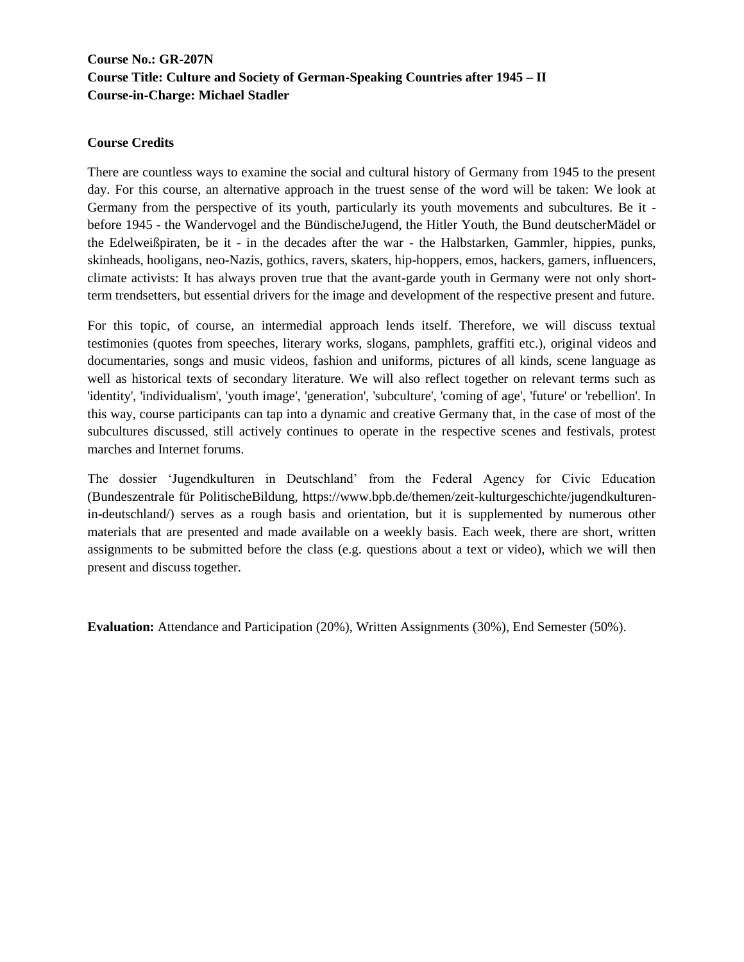# **Course No.: GR-207N Course Title: Culture and Society of German-Speaking Countries after 1945 – II Course-in-Charge: Michael Stadler**

### **Course Credits**

There are countless ways to examine the social and cultural history of Germany from 1945 to the present day. For this course, an alternative approach in the truest sense of the word will be taken: We look at Germany from the perspective of its youth, particularly its youth movements and subcultures. Be it before 1945 - the Wandervogel and the BündischeJugend, the Hitler Youth, the Bund deutscherMädel or the Edelweißpiraten, be it - in the decades after the war - the Halbstarken, Gammler, hippies, punks, skinheads, hooligans, neo-Nazis, gothics, ravers, skaters, hip-hoppers, emos, hackers, gamers, influencers, climate activists: It has always proven true that the avant-garde youth in Germany were not only shortterm trendsetters, but essential drivers for the image and development of the respective present and future.

For this topic, of course, an intermedial approach lends itself. Therefore, we will discuss textual testimonies (quotes from speeches, literary works, slogans, pamphlets, graffiti etc.), original videos and documentaries, songs and music videos, fashion and uniforms, pictures of all kinds, scene language as well as historical texts of secondary literature. We will also reflect together on relevant terms such as 'identity', 'individualism', 'youth image', 'generation', 'subculture', 'coming of age', 'future' or 'rebellion'. In this way, course participants can tap into a dynamic and creative Germany that, in the case of most of the subcultures discussed, still actively continues to operate in the respective scenes and festivals, protest marches and Internet forums.

The dossier 'Jugendkulturen in Deutschland' from the Federal Agency for Civic Education (Bundeszentrale für PolitischeBildung, https://www.bpb.de/themen/zeit-kulturgeschichte/jugendkulturenin-deutschland/) serves as a rough basis and orientation, but it is supplemented by numerous other materials that are presented and made available on a weekly basis. Each week, there are short, written assignments to be submitted before the class (e.g. questions about a text or video), which we will then present and discuss together.

**Evaluation:** Attendance and Participation (20%), Written Assignments (30%), End Semester (50%).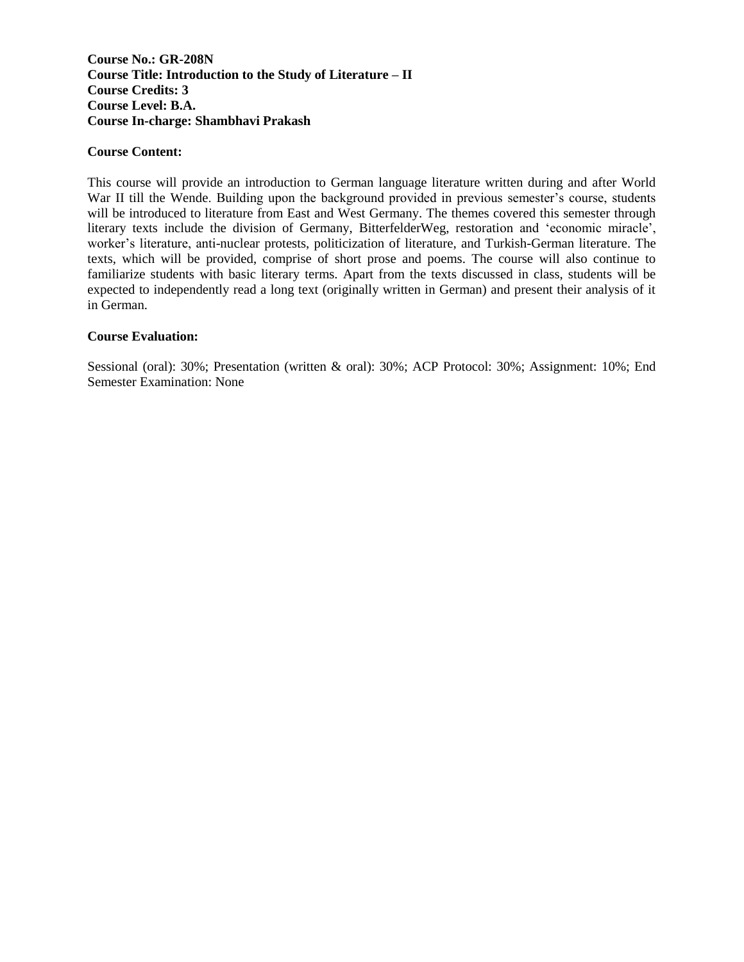### **Course No.: GR-208N Course Title: Introduction to the Study of Literature – II Course Credits: 3 Course Level: B.A. Course In-charge: Shambhavi Prakash**

#### **Course Content:**

This course will provide an introduction to German language literature written during and after World War II till the Wende. Building upon the background provided in previous semester's course, students will be introduced to literature from East and West Germany. The themes covered this semester through literary texts include the division of Germany, BitterfelderWeg, restoration and 'economic miracle', worker's literature, anti-nuclear protests, politicization of literature, and Turkish-German literature. The texts, which will be provided, comprise of short prose and poems. The course will also continue to familiarize students with basic literary terms. Apart from the texts discussed in class, students will be expected to independently read a long text (originally written in German) and present their analysis of it in German.

#### **Course Evaluation:**

Sessional (oral): 30%; Presentation (written & oral): 30%; ACP Protocol: 30%; Assignment: 10%; End Semester Examination: None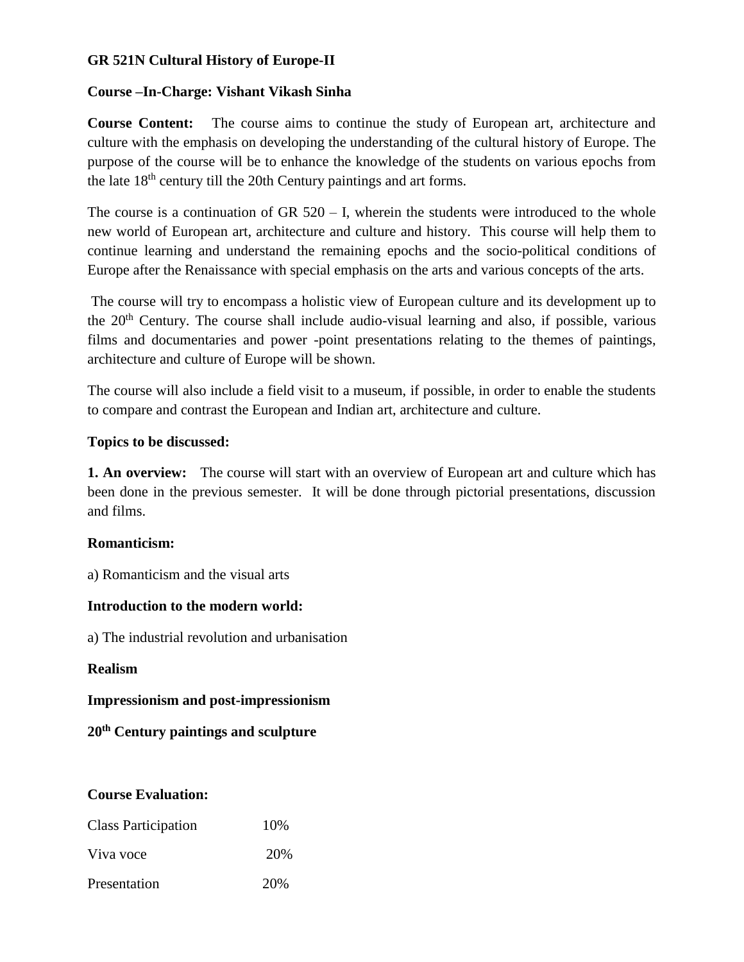# **GR 521N Cultural History of Europe-II**

### **Course –In-Charge: Vishant Vikash Sinha**

**Course Content:** The course aims to continue the study of European art, architecture and culture with the emphasis on developing the understanding of the cultural history of Europe. The purpose of the course will be to enhance the knowledge of the students on various epochs from the late 18<sup>th</sup> century till the 20th Century paintings and art forms.

The course is a continuation of GR  $520 - I$ , wherein the students were introduced to the whole new world of European art, architecture and culture and history. This course will help them to continue learning and understand the remaining epochs and the socio-political conditions of Europe after the Renaissance with special emphasis on the arts and various concepts of the arts.

The course will try to encompass a holistic view of European culture and its development up to the 20<sup>th</sup> Century. The course shall include audio-visual learning and also, if possible, various films and documentaries and power -point presentations relating to the themes of paintings, architecture and culture of Europe will be shown.

The course will also include a field visit to a museum, if possible, in order to enable the students to compare and contrast the European and Indian art, architecture and culture.

# **Topics to be discussed:**

**1. An overview:** The course will start with an overview of European art and culture which has been done in the previous semester. It will be done through pictorial presentations, discussion and films.

### **Romanticism:**

a) Romanticism and the visual arts

# **Introduction to the modern world:**

a) The industrial revolution and urbanisation

### **Realism**

**Impressionism and post-impressionism**

**20th Century paintings and sculpture** 

### **Course Evaluation:**

| <b>Class Participation</b> | 10\% |
|----------------------------|------|
| Viva voce                  | 20%  |
| Presentation               | 20%  |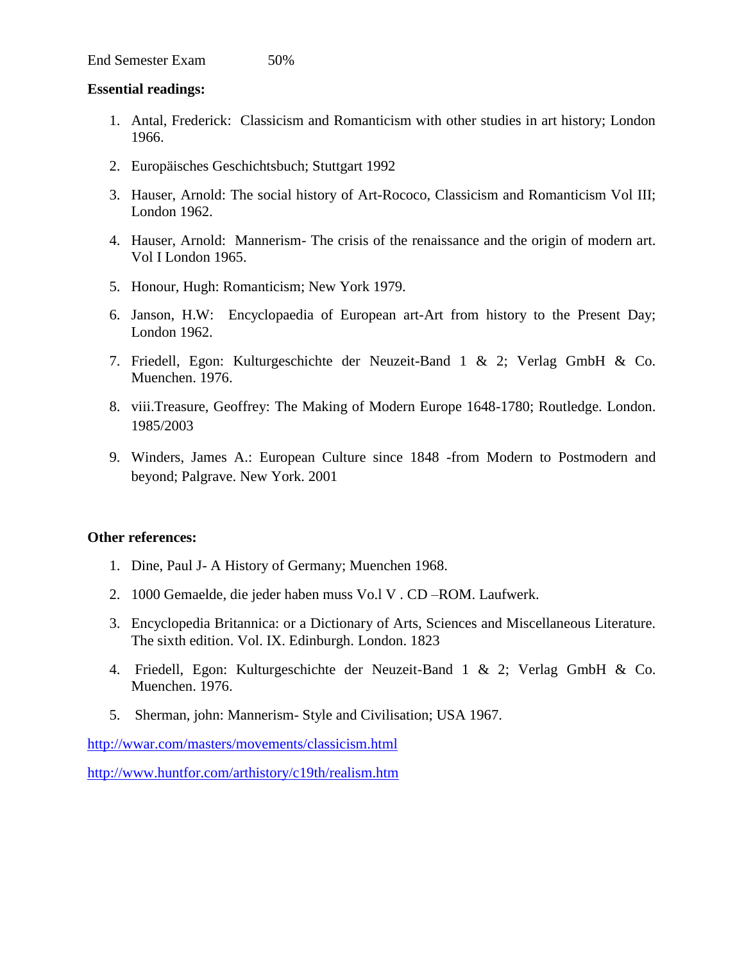### **Essential readings:**

- 1. Antal, Frederick: Classicism and Romanticism with other studies in art history; London 1966.
- 2. Europäisches Geschichtsbuch; Stuttgart 1992
- 3. Hauser, Arnold: The social history of Art-Rococo, Classicism and Romanticism Vol III; London 1962.
- 4. Hauser, Arnold: Mannerism- The crisis of the renaissance and the origin of modern art. Vol I London 1965.
- 5. Honour, Hugh: Romanticism; New York 1979.
- 6. Janson, H.W: Encyclopaedia of European art-Art from history to the Present Day; London 1962.
- 7. Friedell, Egon: Kulturgeschichte der Neuzeit-Band 1 & 2; Verlag GmbH & Co. Muenchen. 1976.
- 8. viii.Treasure, Geoffrey: The Making of Modern Europe 1648-1780; Routledge. London. 1985/2003
- 9. Winders, James A.: European Culture since 1848 -from Modern to Postmodern and beyond; Palgrave. New York. 2001

### **Other references:**

- 1. Dine, Paul J- A History of Germany; Muenchen 1968.
- 2. 1000 Gemaelde, die jeder haben muss Vo.l V . CD –ROM. Laufwerk.
- 3. Encyclopedia Britannica: or a Dictionary of Arts, Sciences and Miscellaneous Literature. The sixth edition. Vol. IX. Edinburgh. London. 1823
- 4. Friedell, Egon: Kulturgeschichte der Neuzeit-Band 1 & 2; Verlag GmbH & Co. Muenchen. 1976.
- 5. Sherman, john: Mannerism- Style and Civilisation; USA 1967.

<http://wwar.com/masters/movements/classicism.html>

<http://www.huntfor.com/arthistory/c19th/realism.htm>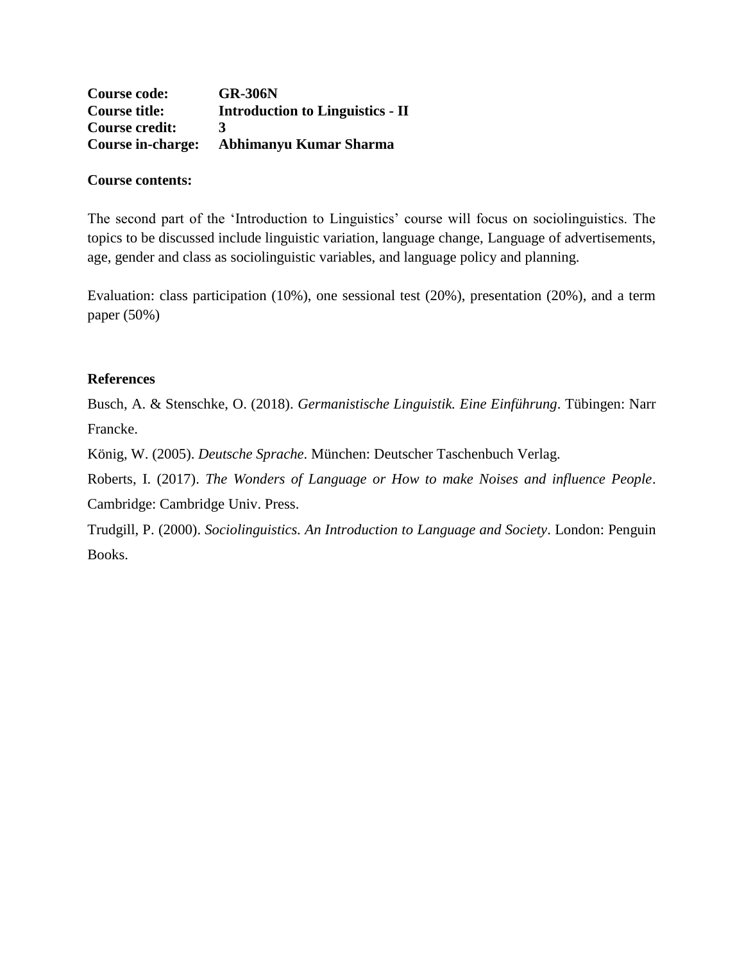| <b>Course code:</b>      | <b>GR-306N</b>                          |
|--------------------------|-----------------------------------------|
| <b>Course title:</b>     | <b>Introduction to Linguistics - II</b> |
| <b>Course credit:</b>    | $\mathbf{z}$                            |
| <b>Course in-charge:</b> | Abhimanyu Kumar Sharma                  |

## **Course contents:**

The second part of the 'Introduction to Linguistics' course will focus on sociolinguistics. The topics to be discussed include linguistic variation, language change, Language of advertisements, age, gender and class as sociolinguistic variables, and language policy and planning.

Evaluation: class participation (10%), one sessional test (20%), presentation (20%), and a term paper (50%)

### **References**

Busch, A. & Stenschke, O. (2018). *Germanistische Linguistik. Eine Einführung*. Tübingen: Narr Francke.

König, W. (2005). *Deutsche Sprache*. München: Deutscher Taschenbuch Verlag.

Roberts, I. (2017). *The Wonders of Language or How to make Noises and influence People*. Cambridge: Cambridge Univ. Press.

Trudgill, P. (2000). *Sociolinguistics. An Introduction to Language and Society*. London: Penguin Books.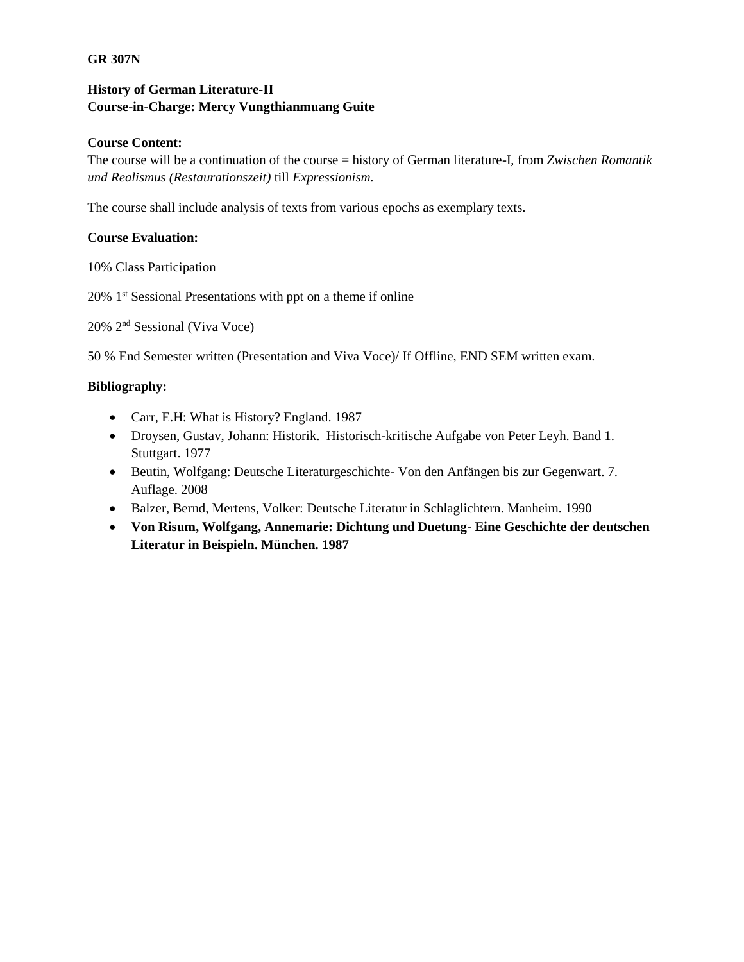### **GR 307N**

# **History of German Literature-II Course-in-Charge: Mercy Vungthianmuang Guite**

### **Course Content:**

The course will be a continuation of the course = history of German literature-I, from *Zwischen Romantik und Realismus (Restaurationszeit)* till *Expressionism.*

The course shall include analysis of texts from various epochs as exemplary texts.

### **Course Evaluation:**

10% Class Participation

20% 1st Sessional Presentations with ppt on a theme if online

20% 2nd Sessional (Viva Voce)

50 % End Semester written (Presentation and Viva Voce)/ If Offline, END SEM written exam.

### **Bibliography:**

- Carr, E.H: What is History? England. 1987
- Droysen, Gustav, Johann: Historik. Historisch-kritische Aufgabe von Peter Leyh. Band 1. Stuttgart. 1977
- Beutin, Wolfgang: Deutsche Literaturgeschichte- Von den Anfängen bis zur Gegenwart. 7. Auflage. 2008
- Balzer, Bernd, Mertens, Volker: Deutsche Literatur in Schlaglichtern. Manheim. 1990
- **Von Risum, Wolfgang, Annemarie: Dichtung und Duetung- Eine Geschichte der deutschen Literatur in Beispieln. München. 1987**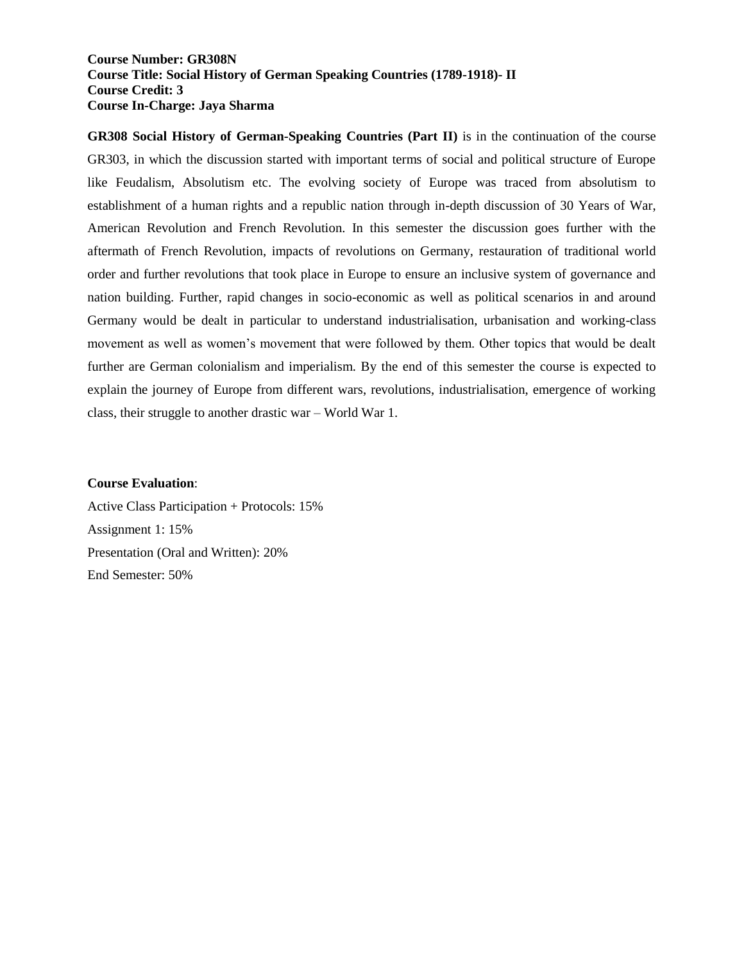### **Course Number: GR308N Course Title: Social History of German Speaking Countries (1789-1918)- II Course Credit: 3 Course In-Charge: Jaya Sharma**

**GR308 Social History of German-Speaking Countries (Part II)** is in the continuation of the course GR303, in which the discussion started with important terms of social and political structure of Europe like Feudalism, Absolutism etc. The evolving society of Europe was traced from absolutism to establishment of a human rights and a republic nation through in-depth discussion of 30 Years of War, American Revolution and French Revolution. In this semester the discussion goes further with the aftermath of French Revolution, impacts of revolutions on Germany, restauration of traditional world order and further revolutions that took place in Europe to ensure an inclusive system of governance and nation building. Further, rapid changes in socio-economic as well as political scenarios in and around Germany would be dealt in particular to understand industrialisation, urbanisation and working-class movement as well as women's movement that were followed by them. Other topics that would be dealt further are German colonialism and imperialism. By the end of this semester the course is expected to explain the journey of Europe from different wars, revolutions, industrialisation, emergence of working class, their struggle to another drastic war – World War 1.

#### **Course Evaluation**:

Active Class Participation + Protocols: 15% Assignment 1: 15% Presentation (Oral and Written): 20% End Semester: 50%